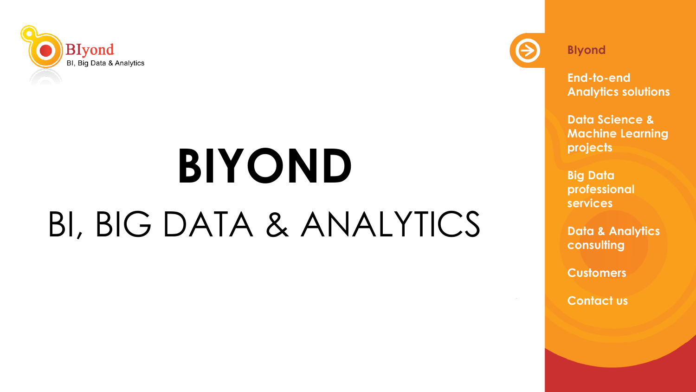

# **BIYOND** BI, BIG DATA & ANALYTICS



**BIyond**

**End-to-end Analytics solutions**

**Data Science & Machine Learning projects**

**Big Data professional services** 

**Data & Analytics consulting**

**Customers**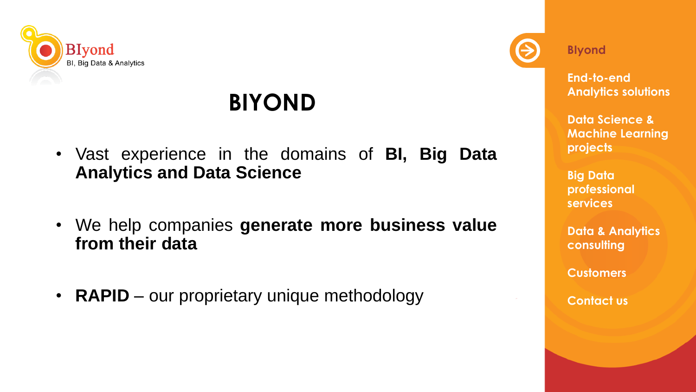

#### **BIYOND**

- Vast experience in the domains of **BI, Big Data Analytics and Data Science**
- We help companies **generate more business value from their data**
- **RAPID** our proprietary unique methodology



**BIyond**

**End-to-end Analytics solutions**

**Data Science & Machine Learning projects**

**Big Data professional services** 

**Data & Analytics consulting**

**Customers**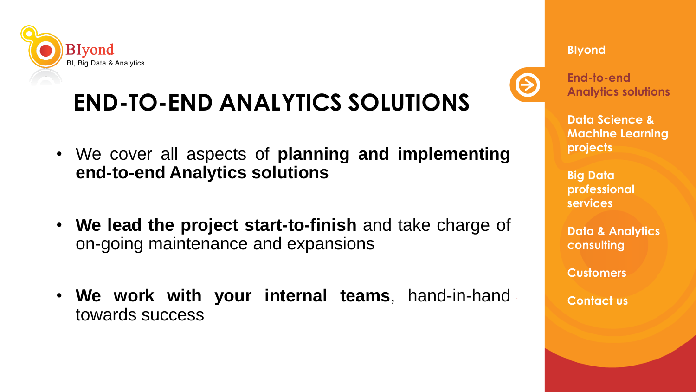

## **END-TO-END ANALYTICS SOLUTIONS**

- We cover all aspects of **planning and implementing end-to-end Analytics solutions**
- **We lead the project start-to-finish** and take charge of on-going maintenance and expansions
- **We work with your internal teams**, hand-in-hand towards success



**End-to-end Analytics solutions**

**BIyond**

**Data Science & Machine Learning projects**

**Big Data professional services** 

**Data & Analytics consulting**

**Customers**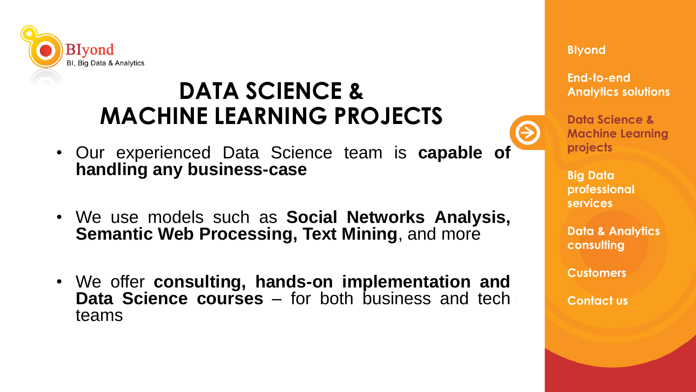

#### **DATA SCIENCE & MACHINE LEARNING PROJECTS**

- Our experienced Data Science team is **capable of handling any business-case**
- We use models such as **Social Networks Analysis, Semantic Web Processing, Text Mining**, and more
- We offer **consulting, hands-on implementation and Data Science courses** – for both business and tech teams



**Data Science & Machine Learning projects**

**Big Data professional services** 

**Data & Analytics consulting**

**Customers**

**Contact us**

#### **BIyond**

**End-to-end Analytics solutions**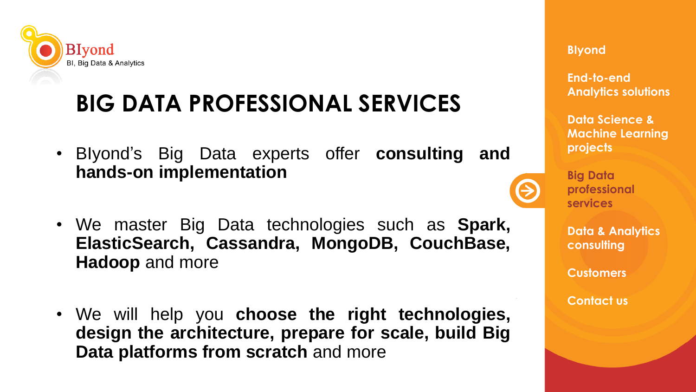

### **BIG DATA PROFESSIONAL SERVICES**

- BIyond's Big Data experts offer **consulting and hands-on implementation**
- We master Big Data technologies such as **Spark, ElasticSearch, Cassandra, MongoDB, CouchBase, Hadoop** and more
- We will help you **choose the right technologies, design the architecture, prepare for scale, build Big Data platforms from scratch** and more



**End-to-end Analytics solutions**

**Data Science & Machine Learning projects**



**Big Data professional services** 

**Data & Analytics consulting**

**Customers**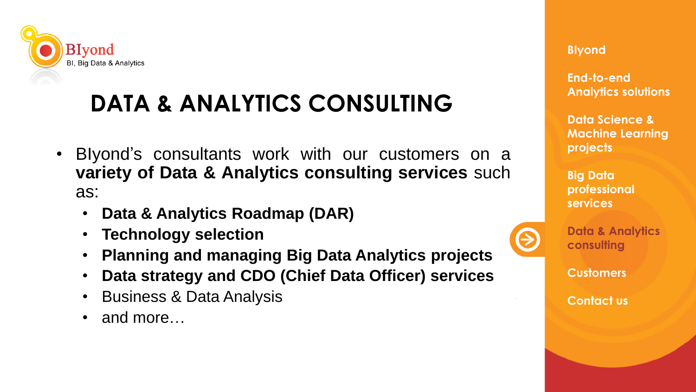

### **DATA & ANALYTICS CONSULTING**

- BIyond's consultants work with our customers on a **variety of Data & Analytics consulting services** such as:
	- **Data & Analytics Roadmap (DAR)**
	- **Technology selection**
	- **Planning and managing Big Data Analytics projects**
	- **Data strategy and CDO (Chief Data Officer) services**
	- Business & Data Analysis
	- and more…



**End-to-end Analytics solutions**

**Data Science & Machine Learning projects**

**Big Data professional services** 



**Data & Analytics consulting**

**Customers**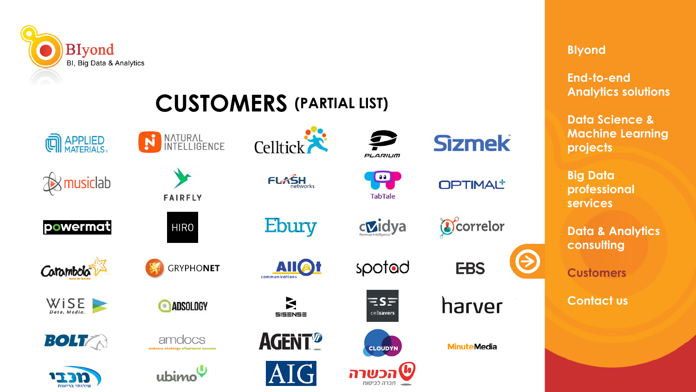

#### **CUSTOMERS (PARTIAL LIST)**



**Sizmek** 

**OPTIMAL\*** 

 $\begin{array}{c} \bullet \\ \bullet \end{array}$ 

Correlor

**EBS** 

harver

**MinuteMedia** 



**Customers**

**Contact us**



**End-to-end Analytics solutions**

**Data Science & Machine Learning projects**

**Big Data professional services** 

**Data & Analytics consulting**